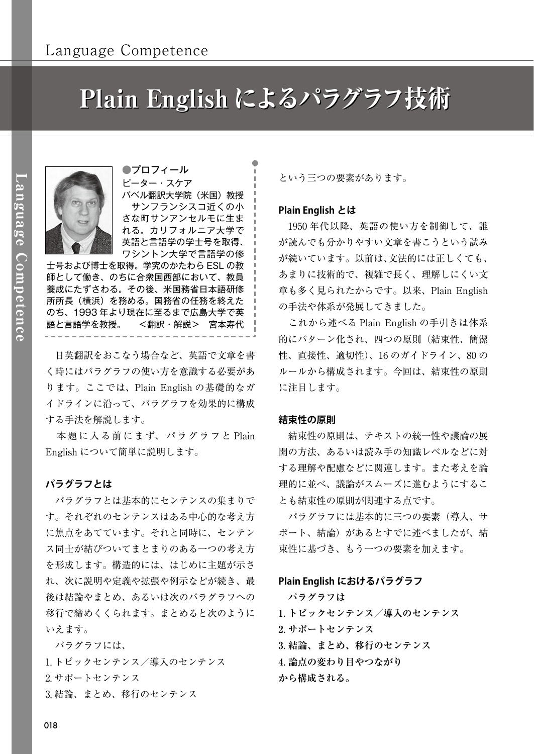# Plain English によるパラグラフ技術



●プロフィール ピーター・スケア バベル翻訳大学院(米国)教授 サンフランシスコ近くの小 さな町サンアンセルモに生ま れる。カリフォルニア大学で 英語と言語学の学士号を取得、 ワシントン大学で言語学の修

士号および博士を取得。学究のかたわら ESL の教 師として働き、のちに合衆国西部において、教員 養成にたずさわる。その後、米国務省日本語研修 所所長(横浜)を務める。国務省の任務を終えた のち、1993 年より現在に至るまで広島大学で英 語と言語学を教授。 <翻訳・解説> 宮本寿代

 日英翻訳をおこなう場合など、英語で文章を書 く時にはパラグラフの使い方を意識する必要があ ります。ここでは、Plain English の基礎的なガ イドラインに沿って、パラグラフを効果的に構成 する手法を解説します。

 本題に入る前にまず、パラグラフと Plain English について簡単に説明します。

## **パラグラフとは**

 パラグラフとは基本的にセンテンスの集まりで す。それぞれのセンテンスはある中心的な考え方 に焦点をあてています。それと同時に、センテン ス同士が結びついてまとまりのある一つの考え方 を形成します。構造的には、はじめに主題が示さ れ、次に説明や定義や拡張や例示などが続き、最 後は結論やまとめ、あるいは次のパラグラフへの 移行で締めくくられます。まとめると次のように いえます。

 パラグラフには、 1. トピックセンテンス/導入のセンテンス 2. サポートセンテンス 3. 結論、まとめ、移行のセンテンス

という三つの要素があります。

## **Plain English とは**

 1950 年代以降、英語の使い方を制御して、誰 が読んでも分かりやすい文章を書こうという試み が続いています。以前は、文法的には正しくても、 あまりに技術的で、複雑で長く、理解しにくい文 章も多く見られたからです。以来、Plain English の手法や体系が発展してきました。

 これから述べる Plain English の手引きは体系 的にパターン化され、四つの原則(結束性、簡潔 性、直接性、適切性)、16 のガイドライン、80 の ルールから構成されます。今回は、結束性の原則 に注目します。

## **結束性の原則**

 結束性の原則は、テキストの統一性や議論の展 開の方法、あるいは読み手の知識レベルなどに対 する理解や配慮などに関連します。また考えを論 理的に並べ、議論がスムーズに進むようにするこ とも結束性の原則が関連する点です。

 パラグラフには基本的に三つの要素(導入、サ ポート、結論)があるとすでに述べましたが、結 束性に基づき、もう一つの要素を加えます。

#### **Plain English におけるパラグラフ**

 **パラグラフは 1. トピックセンテンス/導入のセンテンス 2. サポートセンテンス 3. 結論、まとめ、移行のセンテンス 4. 論点の変わり目やつながり から構成される。**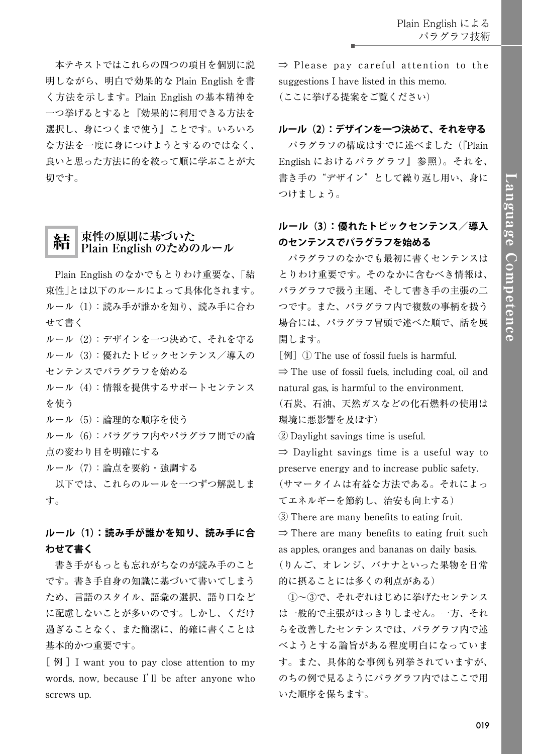本テキストではこれらの四つの項目を個別に説 明しながら、明白で効果的な Plain English を書 く方法を示します。Plain English の基本精神を 一つ挙げるとすると『効果的に利用できる方法を 選択し、身につくまで使う』ことです。いろいろ な方法を一度に身につけようとするのではなく、 良いと思った方法に的を絞って順に学ぶことが大 切です。

# 結 **束性の原則に基づいた Plain English のためのルール**

 Plain English のなかでもとりわけ重要な、「結 束性」とは以下のルールによって具体化されます。 ルール(1):読み手が誰かを知り、読み手に合わ せて書く

ルール(2):デザインを一つ決めて、それを守る ルール(3):優れたトピックセンテンス/導入の センテンスでパラグラフを始める

ルール(4):情報を提供するサポートセンテンス を使う

ルール(5):論理的な順序を使う

ルール(6):パラグラフ内やパラグラフ間での論 点の変わり目を明確にする

ルール(7):論点を要約・強調する

 以下では、これらのルールを一つずつ解説しま す。

**ルール(1):読み手が誰かを知り、読み手に合 わせて書く**

 書き手がもっとも忘れがちなのが読み手のこと です。書き手自身の知識に基づいて書いてしまう ため、言語のスタイル、語彙の選択、語り口など に配慮しないことが多いのです。しかし、くだけ 過ぎることなく、また簡潔に、的確に書くことは 基本的かつ重要です。

[例] I want you to pay close attention to my words, now, because I'll be after anyone who screws up.

⇒ Please pay careful attention to the suggestions I have listed in this memo. (ここに挙げる提案をご覧ください)

## **ルール(2):デザインを一つ決めて、それを守る**

 パラグラフの構成はすでに述べました(『Plain English におけるパラグラフ』参照)。それを、 書き手の"デザイン"として繰り返し用い、身に つけましょう。

## **ルール(3):優れたトピックセンテンス/導入 のセンテンスでパラグラフを始める**

 パラグラフのなかでも最初に書くセンテンスは とりわけ重要です。そのなかに含むべき情報は、 パラグラフで扱う主題、そして書き手の主張の二 つです。また、パラグラフ内で複数の事柄を扱う 場合には、パラグラフ冒頭で述べた順で、話を展 開します。

[例] ① The use of fossil fuels is harmful.

 $\Rightarrow$  The use of fossil fuels, including coal, oil and natural gas, is harmful to the environment.

(石炭、石油、天然ガスなどの化石燃料の使用は 環境に悪影響を及ぼす)

② Daylight savings time is useful.

 $\Rightarrow$  Daylight savings time is a useful way to preserve energy and to increase public safety.

(サマータイムは有益な方法である。それによっ てエネルギーを節約し、治安も向上する)

③ There are many benefits to eating fruit.

 $\Rightarrow$  There are many benefits to eating fruit such as apples, oranges and bananas on daily basis. (りんご、オレンジ、バナナといった果物を日常

的に摂ることには多くの利点がある)

 ①〜③で、それぞれはじめに挙げたセンテンス は一般的で主張がはっきりしません。一方、それ らを改善したセンテンスでは、パラグラフ内で述 べようとする論旨がある程度明白になっていま す。また、具体的な事例も列挙されていますが、 のちの例で見るようにパラグラフ内ではここで用 いた順序を保ちます。

019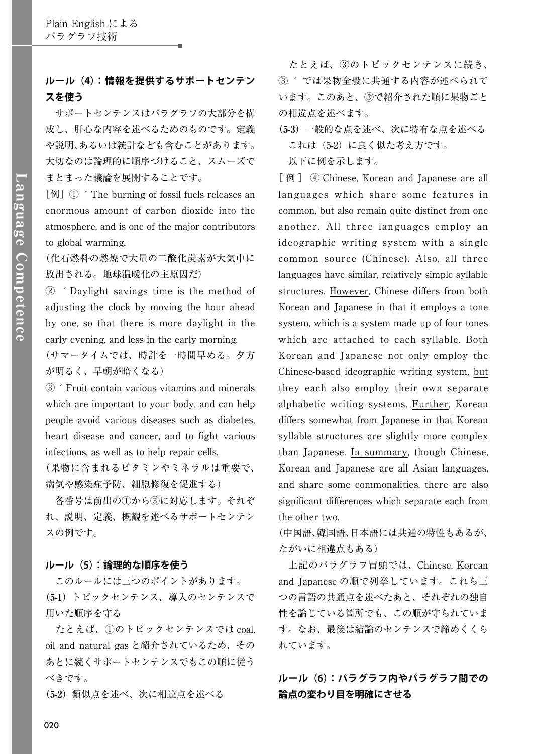## **ルール(4):情報を提供するサポートセンテン スを使う**

 サポートセンテンスはパラグラフの大部分を構 成し、肝心な内容を述べるためのものです。定義 や説明、あるいは統計なども含むことがあります。 大切なのは論理的に順序づけること、スムーズで まとまった議論を展開することです。

 $\lceil \Theta \rceil$   $\lceil \Omega \rceil$   $\lceil \Theta \rceil$   $\lceil \Theta \rceil$   $\lceil \Theta \rceil$   $\lceil \Theta \rceil$   $\lceil \Theta \rceil$   $\lceil \Theta \rceil$   $\lceil \Theta \rceil$   $\lceil \Theta \rceil$   $\lceil \Theta \rceil$   $\lceil \Theta \rceil$   $\lceil \Theta \rceil$   $\lceil \Theta \rceil$   $\lceil \Theta \rceil$   $\lceil \Theta \rceil$   $\lceil \Theta \rceil$   $\lceil \Theta \rceil$   $\lceil \Theta \rceil$   $\lceil \Theta \rceil$  enormous amount of carbon dioxide into the atmosphere, and is one of the major contributors to global warming.

(化石燃料の燃焼で大量の二酸化炭素が大気中に 放出される。地球温暖化の主原因だ)

② ´Daylight savings time is the method of adjusting the clock by moving the hour ahead by one, so that there is more daylight in the early evening, and less in the early morning.

(サマータイムでは、時計を一時間早める。夕方 が明るく、早朝が暗くなる)

③´Fruit contain various vitamins and minerals which are important to your body, and can help people avoid various diseases such as diabetes, heart disease and cancer, and to fight various infections, as well as to help repair cells.

(果物に含まれるビタミンやミネラルは重要で、 病気や感染症予防、細胞修復を促進する)

 各番号は前出の①から③に対応します。それぞ れ、説明、定義、概観を述べるサポートセンテン スの例です。

## **ルール(5):論理的な順序を使う**

 このルールには三つのポイントがあります。 **(5-1)**トピックセンテンス、導入のセンテンスで 用いた順序を守る

 たとえば、①のトピックセンテンスでは coal, oil and natural gas と紹介されているため、その あとに続くサポートセンテンスでもこの順に従う べきです。

**(5-2)**類似点を述べ、次に相違点を述べる

 たとえば、③のトピックセンテンスに続き、 ③ ´ では果物全般に共通する内容が述べられて います。このあと、③で紹介された順に果物ごと の相違点を述べます。

**(5-3)**一般的な点を述べ、次に特有な点を述べる これは(5-2)に良く似た考え方です。 以下に例を示します。

[例] ④ Chinese, Korean and Japanese are all languages which share some features in common, but also remain quite distinct from one another. All three languages employ an ideographic writing system with a single common source (Chinese). Also, all three languages have similar, relatively simple syllable structures. However, Chinese differs from both Korean and Japanese in that it employs a tone system, which is a system made up of four tones which are attached to each syllable. Both Korean and Japanese not only employ the Chinese-based ideographic writing system, but they each also employ their own separate alphabetic writing systems. Further, Korean differs somewhat from Japanese in that Korean syllable structures are slightly more complex than Japanese. In summary, though Chinese, Korean and Japanese are all Asian languages, and share some commonalities, there are also significant differences which separate each from the other two.

(中国語、韓国語、日本語には共通の特性もあるが、 たがいに相違点もある)

 上記のパラグラフ冒頭では、Chinese, Korean and Japanese の順で列挙しています。これら三 つの言語の共通点を述べたあと、それぞれの独自 性を論じている箇所でも、この順が守られていま す。なお、最後は結論のセンテンスで締めくくら れています。

**ルール(6):パラグラフ内やパラグラフ間での 論点の変わり目を明確にさせる**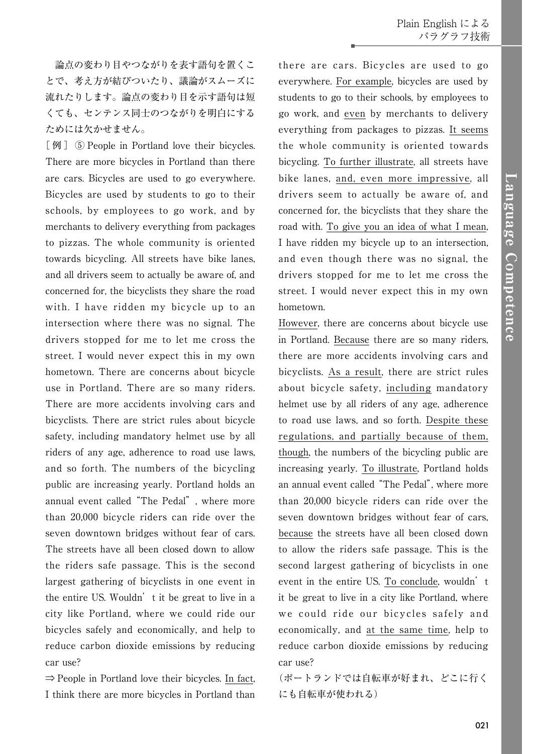論点の変わり目やつながりを表す語句を置くこ とで、考え方が結びついたり、議論がスムーズに 流れたりします。論点の変わり目を示す語句は短 くても、センテンス同士のつながりを明白にする ためには欠かせません。

[例] ⑤ People in Portland love their bicycles. There are more bicycles in Portland than there are cars. Bicycles are used to go everywhere. Bicycles are used by students to go to their schools, by employees to go work, and by merchants to delivery everything from packages to pizzas. The whole community is oriented towards bicycling. All streets have bike lanes, and all drivers seem to actually be aware of, and concerned for, the bicyclists they share the road with. I have ridden my bicycle up to an intersection where there was no signal. The drivers stopped for me to let me cross the street. I would never expect this in my own hometown. There are concerns about bicycle use in Portland. There are so many riders. There are more accidents involving cars and bicyclists. There are strict rules about bicycle safety, including mandatory helmet use by all riders of any age, adherence to road use laws, and so forth. The numbers of the bicycling public are increasing yearly. Portland holds an annual event called "The Pedal", where more than 20,000 bicycle riders can ride over the seven downtown bridges without fear of cars. The streets have all been closed down to allow the riders safe passage. This is the second largest gathering of bicyclists in one event in the entire US. Wouldn't it be great to live in a city like Portland, where we could ride our bicycles safely and economically, and help to reduce carbon dioxide emissions by reducing car use?

⇒ People in Portland love their bicycles. In fact, I think there are more bicycles in Portland than

there are cars. Bicycles are used to go everywhere. For example, bicycles are used by students to go to their schools, by employees to go work, and even by merchants to delivery everything from packages to pizzas. It seems the whole community is oriented towards bicycling. To further illustrate, all streets have bike lanes, and, even more impressive, all drivers seem to actually be aware of, and concerned for, the bicyclists that they share the road with. To give you an idea of what I mean, I have ridden my bicycle up to an intersection, and even though there was no signal, the drivers stopped for me to let me cross the street. I would never expect this in my own hometown.

However, there are concerns about bicycle use in Portland. Because there are so many riders, there are more accidents involving cars and bicyclists. As a result, there are strict rules about bicycle safety, including mandatory helmet use by all riders of any age, adherence to road use laws, and so forth. Despite these regulations, and partially because of them, though, the numbers of the bicycling public are increasing yearly. To illustrate, Portland holds an annual event called "The Pedal", where more than 20,000 bicycle riders can ride over the seven downtown bridges without fear of cars, because the streets have all been closed down to allow the riders safe passage. This is the second largest gathering of bicyclists in one event in the entire US. To conclude, wouldn't it be great to live in a city like Portland, where we could ride our bicycles safely and economically, and at the same time, help to reduce carbon dioxide emissions by reducing car use?

(ポートランドでは自転車が好まれ、どこに行く にも自転車が使われる)